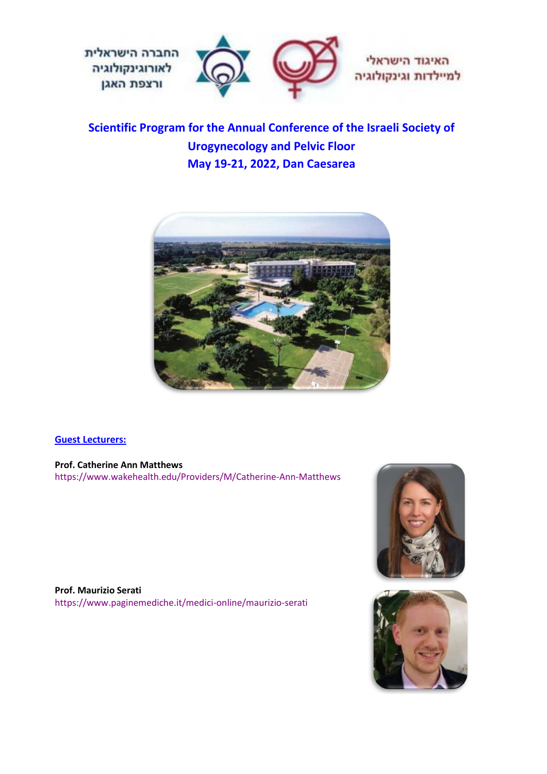

**Scientific Program for the Annual Conference of the Israeli Society of Urogynecology and Pelvic Floor May 19-21, 2022, Dan Caesarea**



### **Guest Lecturers:**

**Prof. Catherine Ann Matthews**  https://www.wakehealth.edu/Providers/M/Catherine-Ann-Matthews





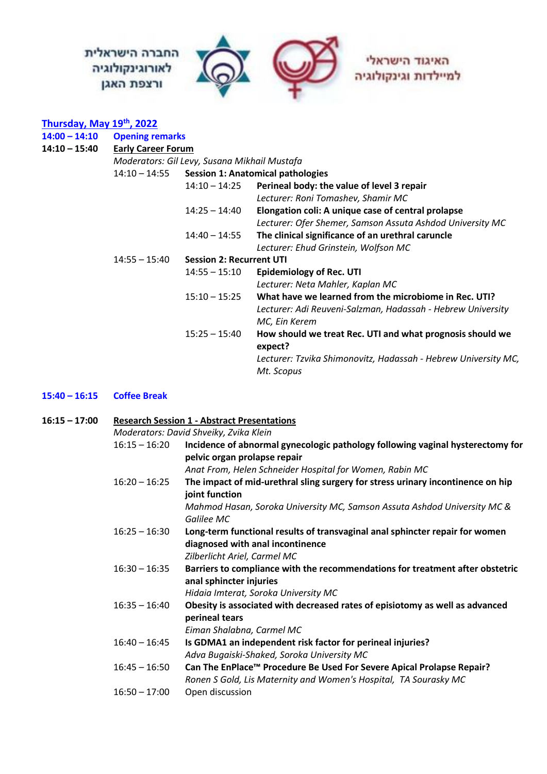

### **Thursday, May 19th , 2022**

| 14:00 - 14:10 | <b>Opening remarks</b>                       |                                          |                                                                |  |  |
|---------------|----------------------------------------------|------------------------------------------|----------------------------------------------------------------|--|--|
| 14:10 - 15:40 | <b>Early Career Forum</b>                    |                                          |                                                                |  |  |
|               | Moderators: Gil Levy, Susana Mikhail Mustafa |                                          |                                                                |  |  |
|               | $14:10 - 14:55$                              | <b>Session 1: Anatomical pathologies</b> |                                                                |  |  |
|               |                                              | $14:10 - 14:25$                          | Perineal body: the value of level 3 repair                     |  |  |
|               |                                              |                                          | Lecturer: Roni Tomashev, Shamir MC                             |  |  |
|               |                                              | $14:25 - 14:40$                          | Elongation coli: A unique case of central prolapse             |  |  |
|               |                                              |                                          | Lecturer: Ofer Shemer, Samson Assuta Ashdod University MC      |  |  |
|               |                                              | $14:40 - 14:55$                          | The clinical significance of an urethral caruncle              |  |  |
|               |                                              |                                          | Lecturer: Ehud Grinstein, Wolfson MC                           |  |  |
|               | $14:55 - 15:40$                              | <b>Session 2: Recurrent UTI</b>          |                                                                |  |  |
|               |                                              | $14:55 - 15:10$                          | <b>Epidemiology of Rec. UTI</b>                                |  |  |
|               |                                              |                                          | Lecturer: Neta Mahler, Kaplan MC                               |  |  |
|               |                                              | $15:10 - 15:25$                          | What have we learned from the microbiome in Rec. UTI?          |  |  |
|               |                                              |                                          | Lecturer: Adi Reuveni-Salzman, Hadassah - Hebrew University    |  |  |
|               |                                              |                                          | MC, Ein Kerem                                                  |  |  |
|               |                                              | $15:25 - 15:40$                          | How should we treat Rec. UTI and what prognosis should we      |  |  |
|               |                                              |                                          | expect?                                                        |  |  |
|               |                                              |                                          | Lecturer: Tzvika Shimonovitz, Hadassah - Hebrew University MC, |  |  |
|               |                                              |                                          | Mt. Scopus                                                     |  |  |
|               |                                              |                                          |                                                                |  |  |

### **15:40 – 16:15 Coffee Break**

| $16:15 - 17:00$ | <b>Research Session 1 - Abstract Presentations</b> |                                                                                 |  |
|-----------------|----------------------------------------------------|---------------------------------------------------------------------------------|--|
|                 | Moderators: David Shveiky, Zvika Klein             |                                                                                 |  |
|                 | $16:15 - 16:20$                                    | Incidence of abnormal gynecologic pathology following vaginal hysterectomy for  |  |
|                 |                                                    | pelvic organ prolapse repair                                                    |  |
|                 |                                                    | Anat From, Helen Schneider Hospital for Women, Rabin MC                         |  |
|                 | $16:20 - 16:25$                                    | The impact of mid-urethral sling surgery for stress urinary incontinence on hip |  |
|                 |                                                    | joint function                                                                  |  |
|                 |                                                    | Mahmod Hasan, Soroka University MC, Samson Assuta Ashdod University MC &        |  |
|                 |                                                    | Galilee MC                                                                      |  |
|                 | $16:25 - 16:30$                                    | Long-term functional results of transvaginal anal sphincter repair for women    |  |
|                 |                                                    | diagnosed with anal incontinence                                                |  |
|                 |                                                    | Zilberlicht Ariel, Carmel MC                                                    |  |
|                 | $16:30 - 16:35$                                    | Barriers to compliance with the recommendations for treatment after obstetric   |  |
|                 |                                                    | anal sphincter injuries                                                         |  |
|                 |                                                    | Hidaia Imterat, Soroka University MC                                            |  |
|                 | $16:35 - 16:40$                                    | Obesity is associated with decreased rates of episiotomy as well as advanced    |  |
|                 |                                                    | perineal tears                                                                  |  |
|                 |                                                    | Eiman Shalabna, Carmel MC                                                       |  |
|                 | $16:40 - 16:45$                                    | Is GDMA1 an independent risk factor for perineal injuries?                      |  |
|                 |                                                    | Adva Bugaiski-Shaked, Soroka University MC                                      |  |
|                 | $16:45 - 16:50$                                    | Can The EnPlace™ Procedure Be Used For Severe Apical Prolapse Repair?           |  |
|                 |                                                    | Ronen S Gold, Lis Maternity and Women's Hospital, TA Sourasky MC                |  |
|                 | $16:50 - 17:00$                                    | Open discussion                                                                 |  |
|                 |                                                    |                                                                                 |  |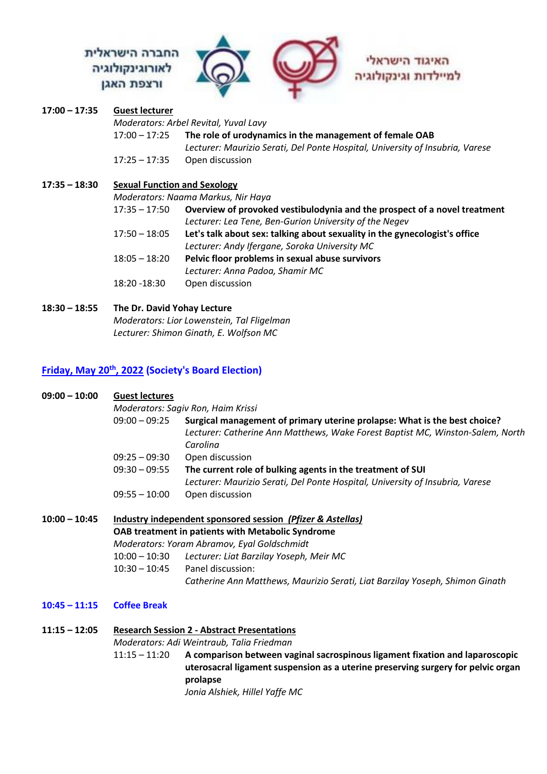## החברה הישראלית לאורוגינקולוגיה ורצפת האגן



### **17:00 – 17:35 Guest lecturer** *Moderators: Arbel Revital, Yuval Lavy* 17:00 – 17:25 **The role of urodynamics in the management of female OAB**  *Lecturer: Maurizio Serati, Del Ponte Hospital, University of Insubria, Varese* 17:25 – 17:35 Open discussion **17:35 – 18:30 Sexual Function and Sexology** *Moderators: Naama Markus, Nir Haya*

| 17:35 - 17:50                                                   | Overview of provoked vestibulodynia and the prospect of a novel treatment  |
|-----------------------------------------------------------------|----------------------------------------------------------------------------|
|                                                                 | Lecturer: Lea Tene, Ben-Gurion University of the Negev                     |
| 17:50 – 18:05                                                   | Let's talk about sex: talking about sexuality in the gynecologist's office |
|                                                                 | Lecturer: Andy Ifergane, Soroka University MC                              |
| 18:05 – 18:20                                                   | Pelvic floor problems in sexual abuse survivors                            |
|                                                                 | Lecturer: Anna Padoa, Shamir MC                                            |
| $\overline{10}$ $\overline{20}$ $\overline{10}$ $\overline{20}$ | Array Marchael                                                             |

 $18:20 - 18:30$  Open discussion

### **18:30 – 18:55 The Dr. David Yohay Lecture** *Moderators: Lior Lowenstein, Tal Fligelman Lecturer: Shimon Ginath, E. Wolfson MC*

### **Friday, May 20th , 2022 (Society's Board Election)**

| $09:00 - 10:00$ | <b>Guest lectures</b><br>$09:00 - 09:25$                                                                                                                              | Moderators: Sagiv Ron, Haim Krissi<br>Surgical management of primary uterine prolapse: What is the best choice?<br>Lecturer: Catherine Ann Matthews, Wake Forest Baptist MC, Winston-Salem, North<br>Carolina |  |
|-----------------|-----------------------------------------------------------------------------------------------------------------------------------------------------------------------|---------------------------------------------------------------------------------------------------------------------------------------------------------------------------------------------------------------|--|
|                 | $09:25 - 09:30$                                                                                                                                                       | Open discussion                                                                                                                                                                                               |  |
|                 | $09:30 - 09:55$                                                                                                                                                       | The current role of bulking agents in the treatment of SUI<br>Lecturer: Maurizio Serati, Del Ponte Hospital, University of Insubria, Varese                                                                   |  |
|                 | $09:55 - 10:00$                                                                                                                                                       | Open discussion                                                                                                                                                                                               |  |
| $10:00 - 10:45$ | Industry independent sponsored session (Pfizer & Astellas)<br><b>OAB treatment in patients with Metabolic Syndrome</b><br>Moderators: Yoram Abramov, Eyal Goldschmidt |                                                                                                                                                                                                               |  |
|                 |                                                                                                                                                                       | 10:00 - 10:30 Lecturer: Liat Barzilay Yoseph, Meir MC                                                                                                                                                         |  |
|                 | $10:30 - 10:45$                                                                                                                                                       | Panel discussion:                                                                                                                                                                                             |  |
|                 |                                                                                                                                                                       | Catherine Ann Matthews, Maurizio Serati, Liat Barzilay Yoseph, Shimon Ginath                                                                                                                                  |  |
| $10:45 - 11:15$ | <b>Coffee Break</b>                                                                                                                                                   |                                                                                                                                                                                                               |  |
| $11:15 - 12:05$ | <b>Research Session 2 - Abstract Presentations</b>                                                                                                                    |                                                                                                                                                                                                               |  |

*Moderators: Adi Weintraub, Talia Friedman* 11:15 – 11:20 **A comparison between vaginal sacrospinous ligament fixation and laparoscopic uterosacral ligament suspension as a uterine preserving surgery for pelvic organ prolapse** *Jonia Alshiek, Hillel Yaffe MC*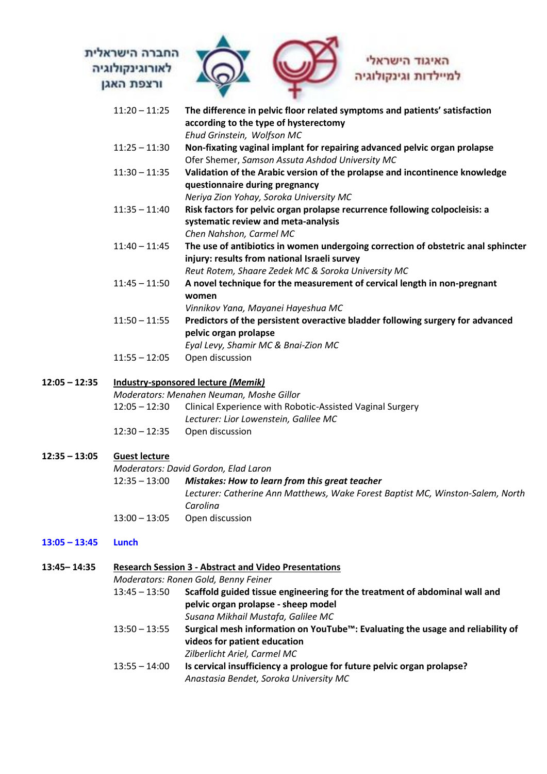### החברה הישראלית לאורוגינקולוגיה ורצפת האגן



# למיילדות וגינקולוגיה

| $11:20 - 11:25$ | The difference in pelvic floor related symptoms and patients' satisfaction        |
|-----------------|-----------------------------------------------------------------------------------|
|                 | according to the type of hysterectomy                                             |
|                 | Ehud Grinstein, Wolfson MC                                                        |
| $11:25 - 11:30$ | Non-fixating vaginal implant for repairing advanced pelvic organ prolapse         |
|                 | Ofer Shemer, Samson Assuta Ashdod University MC                                   |
| $11:30 - 11:35$ | Validation of the Arabic version of the prolapse and incontinence knowledge       |
|                 | questionnaire during pregnancy                                                    |
|                 | Neriya Zion Yohay, Soroka University MC                                           |
| $11:35 - 11:40$ | Risk factors for pelvic organ prolapse recurrence following colpocleisis: a       |
|                 | systematic review and meta-analysis                                               |
|                 | Chen Nahshon, Carmel MC                                                           |
| $11:40 - 11:45$ | The use of antibiotics in women undergoing correction of obstetric anal sphincter |
|                 | injury: results from national Israeli survey                                      |
|                 | Reut Rotem, Shaare Zedek MC & Soroka University MC                                |
| $11:45 - 11:50$ | A novel technique for the measurement of cervical length in non-pregnant          |
|                 | women                                                                             |
|                 | Vinnikov Yana, Mayanei Hayeshua MC                                                |
| $11:50 - 11:55$ | Predictors of the persistent overactive bladder following surgery for advanced    |
|                 | pelvic organ prolapse                                                             |
|                 | Eyal Levy, Shamir MC & Bnai-Zion MC                                               |
| $11:55 - 12:05$ | Open discussion                                                                   |
|                 | <b>Industry-sponsored lecture (Memik)</b>                                         |
|                 | Moderators: Menahen Neuman, Moshe Gillor                                          |
|                 |                                                                                   |

# 12:05 – 12:30 Clinical Experience with Robotic-Assisted Vaginal Surgery *Lecturer: Lior Lowenstein, Galilee MC*

12:30 – 12:35 Open discussion

### **12:35 – 13:05 Guest lecture**

**12:05 – 12:35 Industry-sponsored lecture** *(Memik)*

### *Moderators: David Gordon, Elad Laron*

### 12:35 – 13:00 *Mistakes: How to learn from this great teacher*

*Lecturer: Catherine Ann Matthews, Wake Forest Baptist MC, Winston-Salem, North Carolina*

13:00 – 13:05 Open discussion

### **13:05 – 13:45 Lunch**

**13:45– 14:35 Research Session 3 - Abstract and Video Presentations** *Moderators: Ronen Gold, Benny Feiner*  13:45 – 13:50 **Scaffold guided tissue engineering for the treatment of abdominal wall and pelvic organ prolapse - sheep model** *Susana Mikhail Mustafa, Galilee MC* 13:50 – 13:55 **Surgical mesh information on YouTube™: Evaluating the usage and reliability of videos for patient education** *Zilberlicht Ariel, Carmel MC* 13:55 – 14:00 **Is cervical insufficiency a prologue for future pelvic organ prolapse?** *Anastasia Bendet, Soroka University MC*